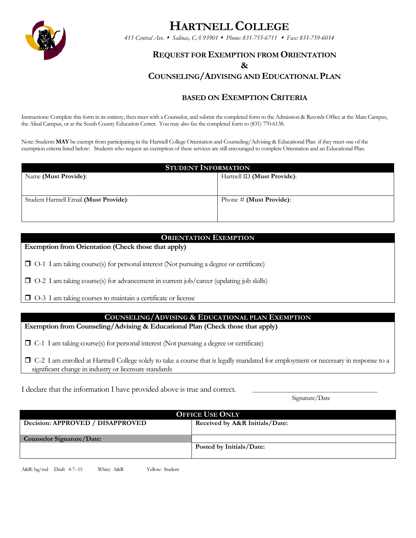

# **HARTNELL COLLEGE**

*411 Central Ave. Salinas, CA 93901 Phone: 831-755-6711 Fax: 831-759-6014*

## **REQUEST FOR EXEMPTION FROM ORIENTATION**

### **&**

# **COUNSELING/ADVISING AND EDUCATIONAL PLAN**

## **BASED ON EXEMPTION CRITERIA**

Instructions: Complete this form in its entirety, then meet with a Counselor, and submit the completed form to the Admission & Records Office at the Main Campus, the Alisal Campus, or at the South County Education Center. You may also fax the completed form to (831) 770-6138.

Note: Students **MAY** be exempt from participating in the Hartnell College Orientation and Counseling/Advising & Educational Plan if they meet one of the exemption criteria listed below: Students who request an exemption of these services are still encouraged to complete Orientation and an Educational Plan.

| <b>STUDENT INFORMATION</b>             |                             |  |
|----------------------------------------|-----------------------------|--|
| Name (Must Provide):                   | Hartnell ID (Must Provide): |  |
|                                        |                             |  |
| Student Hartnell Email (Must Provide): | Phone $\#$ (Must Provide):  |  |
|                                        |                             |  |
|                                        |                             |  |

## **ORIENTATION EXEMPTION**

**Exemption from Orientation (Check those that apply)**

 $\Box$  O-1 I am taking course(s) for personal interest (Not pursuing a degree or certificate)

 $\Box$  O-2 I am taking course(s) for advancement in current job/career (updating job skills)

O-3 I am taking courses to maintain a certificate or license

#### **COUNSELING/ADVISING & EDUCATIONAL PLAN EXEMPTION**

**Exemption from Counseling/Advising & Educational Plan (Check those that apply)**

 $\Box$  C-1 I am taking course(s) for personal interest (Not pursuing a degree or certificate)

 C-2 I am enrolled at Hartnell College solely to take a course that is legally mandated for employment or necessary in response to a significant change in industry or licensure standards

I declare that the information I have provided above is true and correct.

Signature/Date

| <b>OFFICE USE ONLY</b>           |                                |
|----------------------------------|--------------------------------|
| Decision: APPROVED / DISAPPROVED | Received by A&R Initials/Date: |
|                                  |                                |
| Counselor Signature/Date:        |                                |
|                                  | Posted by Initials/Date:       |
|                                  |                                |

A&R: bg/md Draft 4-7--15 White: A&R Yellow: Student